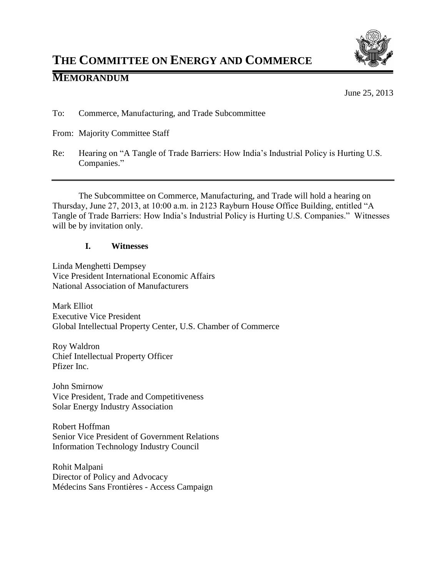

# **THE COMMITTEE ON ENERGY AND COMMERCE**

# **MEMORANDUM**

June 25, 2013

To: Commerce, Manufacturing, and Trade Subcommittee

- From: Majority Committee Staff
- Re: Hearing on "A Tangle of Trade Barriers: How India's Industrial Policy is Hurting U.S. Companies."

The Subcommittee on Commerce, Manufacturing, and Trade will hold a hearing on Thursday, June 27, 2013, at 10:00 a.m. in 2123 Rayburn House Office Building, entitled "A Tangle of Trade Barriers: How India's Industrial Policy is Hurting U.S. Companies." Witnesses will be by invitation only.

# **I. Witnesses**

Linda Menghetti Dempsey Vice President International Economic Affairs National Association of Manufacturers

Mark Elliot Executive Vice President Global Intellectual Property Center, U.S. Chamber of Commerce

Roy Waldron Chief Intellectual Property Officer Pfizer Inc.

John Smirnow Vice President, Trade and Competitiveness Solar Energy Industry Association

Robert Hoffman Senior Vice President of Government Relations Information Technology Industry Council

Rohit Malpani Director of Policy and Advocacy Médecins Sans Frontières - Access Campaign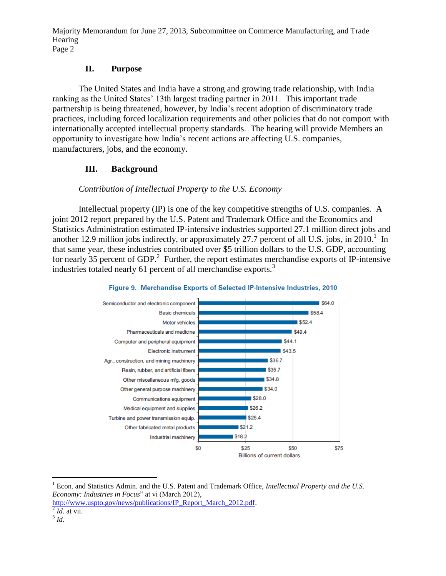#### **II. Purpose**

The United States and India have a strong and growing trade relationship, with India ranking as the United States' 13th largest trading partner in 2011. This important trade partnership is being threatened, however, by India's recent adoption of discriminatory trade practices, including forced localization requirements and other policies that do not comport with internationally accepted intellectual property standards. The hearing will provide Members an opportunity to investigate how India's recent actions are affecting U.S. companies, manufacturers, jobs, and the economy.

# **III. Background**

# *Contribution of Intellectual Property to the U.S. Economy*

Intellectual property (IP) is one of the key competitive strengths of U.S. companies. A joint 2012 report prepared by the U.S. Patent and Trademark Office and the Economics and Statistics Administration estimated IP-intensive industries supported 27.1 million direct jobs and another 12.9 million jobs indirectly, or approximately 27.7 percent of all U.S. jobs, in  $2010<sup>1</sup>$  In that same year, these industries contributed over \$5 trillion dollars to the U.S. GDP, accounting for nearly 35 percent of GDP.<sup>2</sup> Further, the report estimates merchandise exports of IP-intensive industries totaled nearly 61 percent of all merchandise exports.<sup>3</sup>





 $\overline{a}$ 

<sup>1</sup> Econ. and Statistics Admin. and the U.S. Patent and Trademark Office, *Intellectual Property and the U.S. Economy: Industries in Focus*" at vi (March 2012),

[http://www.uspto.gov/news/publications/IP\\_Report\\_March\\_2012.pdf.](http://www.uspto.gov/news/publications/IP_Report_March_2012.pdf)

 $^{2}$  *Id.* at vii. 3 *Id*.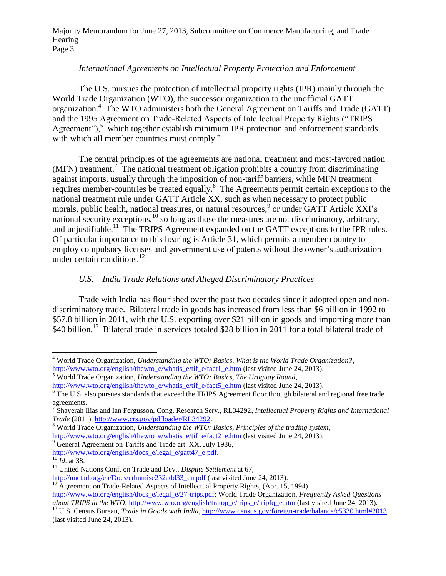#### *International Agreements on Intellectual Property Protection and Enforcement*

The U.S. pursues the protection of intellectual property rights (IPR) mainly through the World Trade Organization (WTO), the successor organization to the unofficial GATT organization.<sup>4</sup> The WTO administers both the General Agreement on Tariffs and Trade (GATT) and the 1995 Agreement on Trade-Related Aspects of Intellectual Property Rights ("TRIPS Agreement"),<sup>5</sup> which together establish minimum IPR protection and enforcement standards with which all member countries must comply.<sup>6</sup>

The central principles of the agreements are national treatment and most-favored nation  $(MFN)$  treatment.<sup>7</sup> The national treatment obligation prohibits a country from discriminating against imports, usually through the imposition of non-tariff barriers, while MFN treatment requires member-countries be treated equally.<sup>8</sup> The Agreements permit certain exceptions to the national treatment rule under GATT Article XX, such as when necessary to protect public morals, public health, national treasures, or natural resources,<sup>9</sup> or under GATT Article XXI's national security exceptions,<sup>10</sup> so long as those the measures are not discriminatory, arbitrary, and unjustifiable.<sup>11</sup> The TRIPS Agreement expanded on the GATT exceptions to the IPR rules. Of particular importance to this hearing is Article 31, which permits a member country to employ compulsory licenses and government use of patents without the owner's authorization under certain conditions. 12

# *U.S. – India Trade Relations and Alleged Discriminatory Practices*

Trade with India has flourished over the past two decades since it adopted open and nondiscriminatory trade. Bilateral trade in goods has increased from less than \$6 billion in 1992 to \$57.8 billion in 2011, with the U.S. exporting over \$21 billion in goods and importing more than \$40 billion.<sup>13</sup> Bilateral trade in services totaled \$28 billion in 2011 for a total bilateral trade of

 $\overline{a}$ <sup>4</sup> World Trade Organization, *Understanding the WTO: Basics, What is the World Trade Organization?*, [http://www.wto.org/english/thewto\\_e/whatis\\_e/tif\\_e/fact1\\_e.htm](http://www.wto.org/english/thewto_e/whatis_e/tif_e/fact1_e.htm) (last visited June 24, 2013).

<sup>5</sup> World Trade Organization, *Understanding the WTO: Basics, The Uruguay Round*, [http://www.wto.org/english/thewto\\_e/whatis\\_e/tif\\_e/fact5\\_e.htm](http://www.wto.org/english/thewto_e/whatis_e/tif_e/fact5_e.htm) (last visited June 24, 2013).

<sup>&</sup>lt;sup>6</sup> The U.S. also pursues standards that exceed the TRIPS Agreement floor through bilateral and regional free trade

agreements. 7 Shayerah Ilias and Ian Fergusson, Cong. Research Serv., RL34292, *Intellectual Property Rights and International Trade* (2011), [http://www.crs.gov/pdfloader/RL34292.](http://www.crs.gov/pdfloader/RL34292)

<sup>8</sup> World Trade Organization, *Understanding the WTO: Basics, Principles of the trading system*,

[http://www.wto.org/english/thewto\\_e/whatis\\_e/tif\\_e/fact2\\_e.htm](http://www.wto.org/english/thewto_e/whatis_e/tif_e/fact2_e.htm) (last visited June 24, 2013).

<sup>&</sup>lt;sup>9</sup> General Agreement on Tariffs and Trade art. XX, July 1986,

[http://www.wto.org/english/docs\\_e/legal\\_e/gatt47\\_e.pdf.](http://www.wto.org/english/docs_e/legal_e/gatt47_e.pdf)

<sup>10</sup> *Id*. at 38.

<sup>11</sup> United Nations Conf. on Trade and Dev., *Dispute Settlement* at 67,

[http://unctad.org/en/Docs/edmmisc232add33\\_en.pdf](http://unctad.org/en/Docs/edmmisc232add33_en.pdf) (last visited June 24, 2013).

<sup>&</sup>lt;sup>12</sup> Agreement on Trade-Related Aspects of Intellectual Property Rights, (Apr. 15, 1994) [http://www.wto.org/english/docs\\_e/legal\\_e/27-trips.pdf;](http://www.wto.org/english/docs_e/legal_e/27-trips.pdf) World Trade Organization, *Frequently Asked Questions* 

*about TRIPS in the WTO*, [http://www.wto.org/english/tratop\\_e/trips\\_e/tripfq\\_e.htm](http://www.wto.org/english/tratop_e/trips_e/tripfq_e.htm) (last visited June 24, 2013).

<sup>&</sup>lt;sup>13</sup> U.S. Census Bureau, *Trade in Goods with India*, <http://www.census.gov/foreign-trade/balance/c5330.html#2013> (last visited June 24, 2013).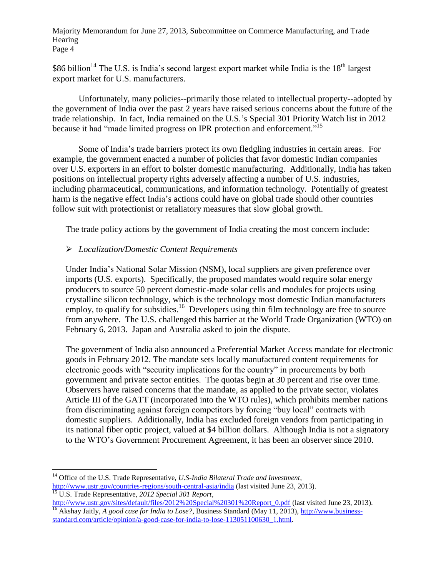\$86 billion<sup>14</sup> The U.S. is India's second largest export market while India is the  $18<sup>th</sup>$  largest export market for U.S. manufacturers.

Unfortunately, many policies--primarily those related to intellectual property--adopted by the government of India over the past 2 years have raised serious concerns about the future of the trade relationship. In fact, India remained on the U.S.'s Special 301 Priority Watch list in 2012 because it had "made limited progress on IPR protection and enforcement."<sup>15</sup>

Some of India's trade barriers protect its own fledgling industries in certain areas. For example, the government enacted a number of policies that favor domestic Indian companies over U.S. exporters in an effort to bolster domestic manufacturing. Additionally, India has taken positions on intellectual property rights adversely affecting a number of U.S. industries, including pharmaceutical, communications, and information technology. Potentially of greatest harm is the negative effect India's actions could have on global trade should other countries follow suit with protectionist or retaliatory measures that slow global growth.

The trade policy actions by the government of India creating the most concern include:

# *Localization/Domestic Content Requirements*

Under India's National Solar Mission (NSM), local suppliers are given preference over imports (U.S. exports). Specifically, the proposed mandates would require solar energy producers to source 50 percent domestic-made solar cells and modules for projects using crystalline silicon technology, which is the technology most domestic Indian manufacturers employ, to qualify for subsidies.<sup>16</sup> Developers using thin film technology are free to source from anywhere. The U.S. challenged this barrier at the World Trade Organization (WTO) on February 6, 2013. Japan and Australia asked to join the dispute.

The government of India also announced a Preferential Market Access mandate for electronic goods in February 2012. The mandate sets locally manufactured content requirements for electronic goods with "security implications for the country" in procurements by both government and private sector entities. The quotas begin at 30 percent and rise over time. Observers have raised concerns that the mandate, as applied to the private sector, violates Article III of the GATT (incorporated into the WTO rules), which prohibits member nations from discriminating against foreign competitors by forcing "buy local" contracts with domestic suppliers. Additionally, India has excluded foreign vendors from participating in its national fiber optic project, valued at \$4 billion dollars. Although India is not a signatory to the WTO's Government Procurement Agreement, it has been an observer since 2010.

 $\overline{a}$ 

<sup>14</sup> Office of the U.S. Trade Representative, *U.S-India Bilateral Trade and Investment*, <http://www.ustr.gov/countries-regions/south-central-asia/india> (last visited June 23, 2013). <sup>15</sup> U.S. Trade Representative, *2012 Special 301 Report*,

[http://www.ustr.gov/sites/default/files/2012%20Special%20301%20Report\\_0.pdf](http://www.ustr.gov/sites/default/files/2012%20Special%20301%20Report_0.pdf) (last visited June 23, 2013). <sup>16</sup> Akshay Jaitly, *A good case for India to Lose?*, Business Standard (May 11, 2013)[, http://www.business](http://www.business-standard.com/article/opinion/a-good-case-for-india-to-lose-113051100630_1.html)[standard.com/article/opinion/a-good-case-for-india-to-lose-113051100630\\_1.html.](http://www.business-standard.com/article/opinion/a-good-case-for-india-to-lose-113051100630_1.html)